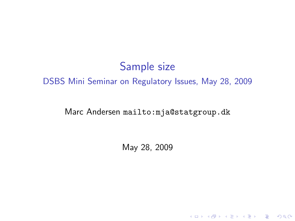# Sample size DSBS Mini Seminar on Regulatory Issues, May 28, 2009

#### Marc Andersen <mailto:mja@statgroup.dk>

May 28, 2009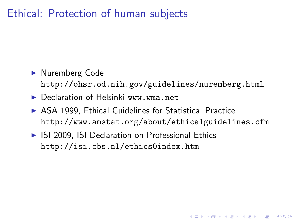### Ethical: Protection of human subjects

- ▶ Nuremberg Code <http://ohsr.od.nih.gov/guidelines/nuremberg.html>
- ▶ Declaration of Helsinki <www.wma.net>
- $\triangleright$  ASA 1999, Ethical Guidelines for Statistical Practice <http://www.amstat.org/about/ethicalguidelines.cfm>

4 D > 4 P + 4 B + 4 B + B + 9 Q O

▶ ISI 2009, ISI Declaration on Professional Ethics <http://isi.cbs.nl/ethics0index.htm>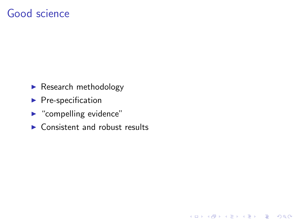#### Good science

- $\blacktriangleright$  Research methodology
- $\blacktriangleright$  Pre-specification
- $\blacktriangleright$  "compelling evidence"
- $\triangleright$  Consistent and robust results

K ロ ▶ K @ ▶ K 할 > K 할 > 1 할 > 1 이익어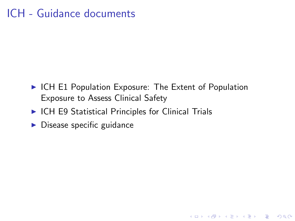# ICH - Guidance documents

 $\triangleright$  ICH E1 Population Exposure: The Extent of Population Exposure to Assess Clinical Safety

K ロ ▶ K @ ▶ K 할 > K 할 > 1 할 > 1 이익어

- $\triangleright$  ICH E9 Statistical Principles for Clinical Trials
- $\blacktriangleright$  Disease specific guidance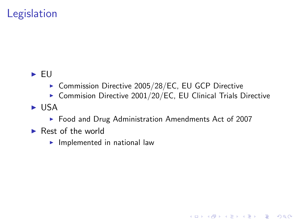# **Legislation**

#### $\blacktriangleright$  EU

- ▶ Commission Directive 2005/28/EC, EU GCP Directive
- $\triangleright$  Commision Directive 2001/20/EC, EU Clinical Trials Directive

**KOD KARD KED KED E VOOR** 

- $\blacktriangleright$  USA
	- ▶ Food and Drug Administration Amendments Act of 2007
- $\blacktriangleright$  Rest of the world
	- $\blacktriangleright$  Implemented in national law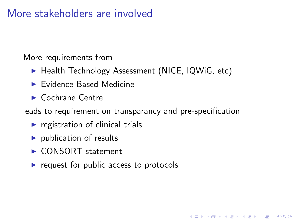#### More stakeholders are involved

More requirements from

- ▶ Health Technology Assessment (NICE, IQWiG, etc)
- $\blacktriangleright$  Evidence Based Medicine
- $\blacktriangleright$  Cochrane Centre

leads to requirement on transparancy and pre-specification

**KORK ERKER ADE YOUR** 

- $\blacktriangleright$  registration of clinical trials
- $\blacktriangleright$  publication of results
- ▶ CONSORT statement
- $\triangleright$  request for public access to protocols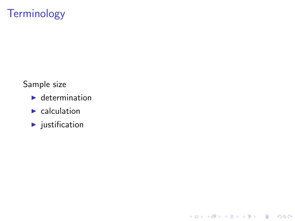# **Terminology**

Sample size

- $\blacktriangleright$  determination
- $\blacktriangleright$  calculation
- $\blacktriangleright$  justification

K ロ K K (P) K (E) K (E) X (E) X (P) K (P)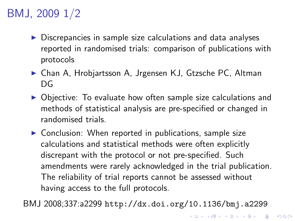# BMJ, 2009 1/2

- $\triangleright$  Discrepancies in sample size calculations and data analyses reported in randomised trials: comparison of publications with protocols
- ▶ Chan A, Hrobjartsson A, Jrgensen KJ, Gtzsche PC, Altman DG
- $\triangleright$  Objective: To evaluate how often sample size calculations and methods of statistical analysis are pre-specified or changed in randomised trials.
- $\triangleright$  Conclusion: When reported in publications, sample size calculations and statistical methods were often explicitly discrepant with the protocol or not pre-specified. Such amendments were rarely acknowledged in the trial publication. The reliability of trial reports cannot be assessed without having access to the full protocols.

BMJ 2008;337:a2299 <http://dx.doi.org/10.1136/bmj.a2299>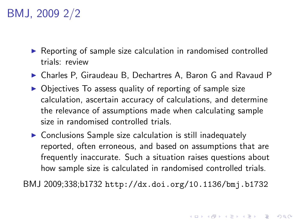# BMJ, 2009 2/2

- $\triangleright$  Reporting of sample size calculation in randomised controlled trials: review
- ▶ Charles P, Giraudeau B, Dechartres A, Baron G and Ravaud P
- $\triangleright$  Objectives To assess quality of reporting of sample size calculation, ascertain accuracy of calculations, and determine the relevance of assumptions made when calculating sample size in randomised controlled trials.
- $\triangleright$  Conclusions Sample size calculation is still inadequately reported, often erroneous, and based on assumptions that are frequently inaccurate. Such a situation raises questions about how sample size is calculated in randomised controlled trials.

BMJ 2009;338;b1732 <http://dx.doi.org/10.1136/bmj.b1732>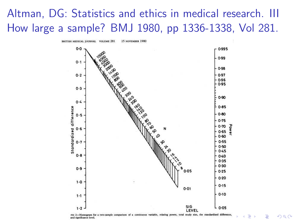# Altman, DG: Statistics and ethics in medical research. III How large a sample? BMJ 1980, pp 1336-1338, Vol 281.

15 NOVEMBER 1980 **BRITISH MEDICAL JOURNAL** VOLUME 281



and significance level.

つくい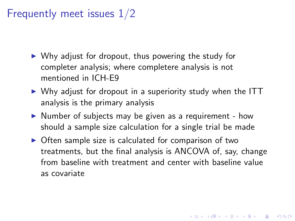# Frequently meet issues 1/2

- $\triangleright$  Why adjust for dropout, thus powering the study for completer analysis; where completere analysis is not mentioned in ICH-E9
- $\triangleright$  Why adjust for dropout in a superiority study when the ITT analysis is the primary analysis
- $\triangleright$  Number of subjects may be given as a requirement how should a sample size calculation for a single trial be made
- $\triangleright$  Often sample size is calculated for comparison of two treatments, but the final analysis is ANCOVA of, say, change from baseline with treatment and center with baseline value as covariate

4 D > 4 P + 4 B + 4 B + B + 9 Q O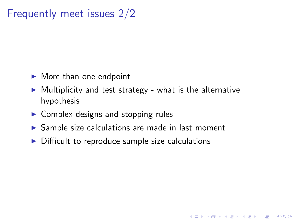# Frequently meet issues 2/2

- $\blacktriangleright$  More than one endpoint
- $\triangleright$  Multiplicity and test strategy what is the alternative hypothesis

**K ロ ▶ K @ ▶ K 할 X X 할 X 및 할 X X Q Q O** 

- $\triangleright$  Complex designs and stopping rules
- $\triangleright$  Sample size calculations are made in last moment
- $\triangleright$  Difficult to reproduce sample size calculations